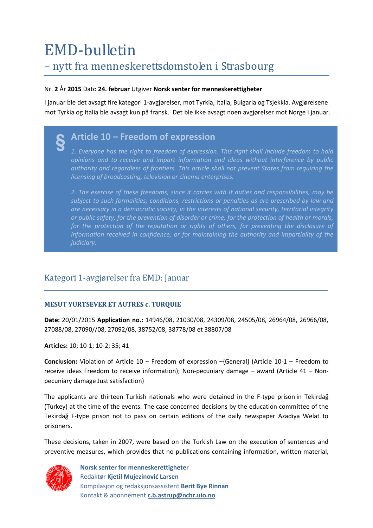## EMD-bulletin – nytt fra menneskerettsdomstolen i Strasbourg

#### Nr. **2** År **2015** Dato **24. februar** Utgiver **Norsk senter for menneskerettigheter**

I januar ble det avsagt fire kategori 1-avgjørelser, mot Tyrkia, Italia, Bulgaria og Tsjekkia. Avgjørelsene mot Tyrkia og Italia ble avsagt kun på fransk. Det ble ikke avsagt noen avgjørelser mot Norge i januar.

## **Article 10 – Freedom of expression §**

*1. Everyone has the right to freedom of expression. This right shall include freedom to hold opinions and to receive and impart information and ideas without interference by public authority and regardless of frontiers. This article shall not prevent States from requiring the licensing of broadcasting, television or cinema enterprises.*

*2. The exercise of these freedoms, since it carries with it duties and responsibilities, may be subject to such formalities, conditions, restrictions or penalties as are prescribed by law and are necessary in a democratic society, in the interests of national security, territorial integrity or public safety, for the prevention of disorder or crime, for the protection of health or morals,*  for the protection of the reputation or rights of others, for preventing the disclosure of *information received in confidence, or for maintaining the authority and impartiality of the judiciary.*

## Kategori 1-avgjørelser fra EMD: Januar

### **[MESUT YURTSEVER ET AUTRES c. TURQUIE](http://hudoc.echr.coe.int/sites/eng/pages/search.aspx?i=001-148660)**

**Date:** 20/01/2015 **Application no.:** 14946/08, 21030/08, 24309/08, 24505/08, 26964/08, 26966/08, 27088/08, 27090//08, 27092/08, 38752/08, 38778/08 et 38807/08

**Articles:** 10; 10-1; 10-2; 35; 41

**Conclusion:** Violation of Article 10 – Freedom of expression –{General} (Article 10-1 – Freedom to receive ideas Freedom to receive information); Non-pecuniary damage – award (Article 41 – Nonpecuniary damage Just satisfaction)

The applicants are thirteen Turkish nationals who were detained in the F-type prison in Tekirdağ (Turkey) at the time of the events. The case concerned decisions by the education committee of the Tekirdağ F-type prison not to pass on certain editions of the daily newspaper Azadiya Welat to prisoners.

These decisions, taken in 2007, were based on the Turkish Law on the execution of sentences and preventive measures, which provides that no publications containing information, written material,

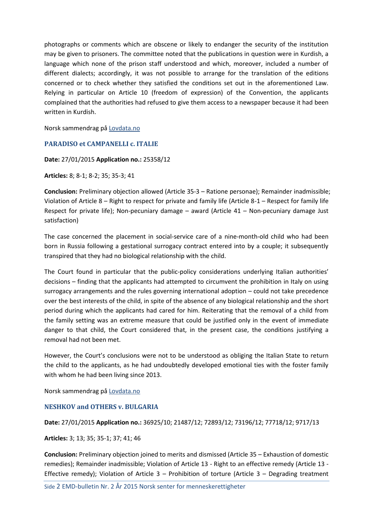photographs or comments which are obscene or likely to endanger the security of the institution may be given to prisoners. The committee noted that the publications in question were in Kurdish, a language which none of the prison staff understood and which, moreover, included a number of different dialects; accordingly, it was not possible to arrange for the translation of the editions concerned or to check whether they satisfied the conditions set out in the aforementioned Law. Relying in particular on Article 10 (freedom of expression) of the Convention, the applicants complained that the authorities had refused to give them access to a newspaper because it had been written in Kurdish.

Norsk sammendrag på [Lovdata.no](https://lovdata.no/dokument/EMDN/avgjorelse/emdn-2008-14946-tyrki)

#### **PARADISO et [CAMPANELLI](http://hudoc.echr.coe.int/sites/eng/pages/search.aspx?i=001-150770) c. ITALIE**

#### **Date:** 27/01/2015 **Application no.:** 25358/12

**Articles:** 8; 8-1; 8-2; 35; 35-3; 41

**Conclusion:** Preliminary objection allowed (Article 35-3 – Ratione personae); Remainder inadmissible; Violation of Article 8 – Right to respect for private and family life (Article 8-1 – Respect for family life Respect for private life); Non-pecuniary damage – award (Article 41 – Non-pecuniary damage Just satisfaction)

The case concerned the placement in social-service care of a nine-month-old child who had been born in Russia following a gestational surrogacy contract entered into by a couple; it subsequently transpired that they had no biological relationship with the child.

The Court found in particular that the public-policy considerations underlying Italian authorities' decisions – finding that the applicants had attempted to circumvent the prohibition in Italy on using surrogacy arrangements and the rules governing international adoption – could not take precedence over the best interests of the child, in spite of the absence of any biological relationship and the short period during which the applicants had cared for him. Reiterating that the removal of a child from the family setting was an extreme measure that could be justified only in the event of immediate danger to that child, the Court considered that, in the present case, the conditions justifying a removal had not been met.

However, the Court's conclusions were not to be understood as obliging the Italian State to return the child to the applicants, as he had undoubtedly developed emotional ties with the foster family with whom he had been living since 2013.

Norsk sammendrag på [Lovdata.no](https://lovdata.no/dokument/EMDN/avgjorelse/emdn-2012-25358-itali)

#### **[NESHKOV and OTHERS v. BULGARIA](http://hudoc.echr.coe.int/sites/eng/pages/search.aspx?i=001-150771)**

#### **Date:** 27/01/2015 **Application no.:** 36925/10; 21487/12; 72893/12; 73196/12; 77718/12; 9717/13

**Articles:** 3; 13; 35; 35-1; 37; 41; 46

**Conclusion:** Preliminary objection joined to merits and dismissed (Article 35 – Exhaustion of domestic remedies); Remainder inadmissible; Violation of Article 13 - Right to an effective remedy (Article 13 - Effective remedy); Violation of Article  $3$  – Prohibition of torture (Article  $3$  – Degrading treatment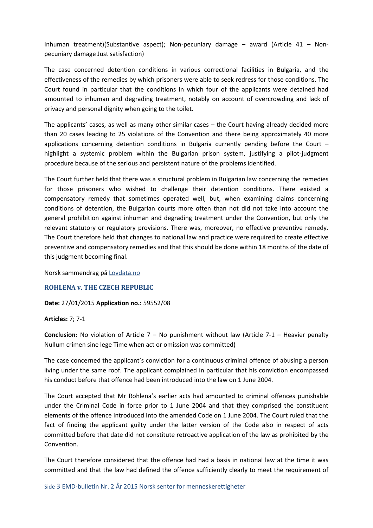Inhuman treatment)(Substantive aspect); Non-pecuniary damage – award (Article 41 – Nonpecuniary damage Just satisfaction)

The case concerned detention conditions in various correctional facilities in Bulgaria, and the effectiveness of the remedies by which prisoners were able to seek redress for those conditions. The Court found in particular that the conditions in which four of the applicants were detained had amounted to inhuman and degrading treatment, notably on account of overcrowding and lack of privacy and personal dignity when going to the toilet.

The applicants' cases, as well as many other similar cases – the Court having already decided more than 20 cases leading to 25 violations of the Convention and there being approximately 40 more applications concerning detention conditions in Bulgaria currently pending before the Court highlight a systemic problem within the Bulgarian prison system, justifying a pilot-judgment procedure because of the serious and persistent nature of the problems identified.

The Court further held that there was a structural problem in Bulgarian law concerning the remedies for those prisoners who wished to challenge their detention conditions. There existed a compensatory remedy that sometimes operated well, but, when examining claims concerning conditions of detention, the Bulgarian courts more often than not did not take into account the general prohibition against inhuman and degrading treatment under the Convention, but only the relevant statutory or regulatory provisions. There was, moreover, no effective preventive remedy. The Court therefore held that changes to national law and practice were required to create effective preventive and compensatory remedies and that this should be done within 18 months of the date of this judgment becoming final.

Norsk sammendrag på [Lovdata.no](https://lovdata.no/dokument/EMDN/avgjorelse/emdn-2010-36925-bulga)

#### **[ROHLENA v. THE CZECH REPUBLIC](http://hudoc.echr.coe.int/sites/eng/pages/search.aspx?i=001-151051)**

#### **Date:** 27/01/2015 **Application no.:** 59552/08

#### **Articles:** 7; 7-1

**Conclusion:** No violation of Article 7 – No punishment without law (Article 7-1 – Heavier penalty Nullum crimen sine lege Time when act or omission was committed)

The case concerned the applicant's conviction for a continuous criminal offence of abusing a person living under the same roof. The applicant complained in particular that his conviction encompassed his conduct before that offence had been introduced into the law on 1 June 2004.

The Court accepted that Mr Rohlena's earlier acts had amounted to criminal offences punishable under the Criminal Code in force prior to 1 June 2004 and that they comprised the constituent elements of the offence introduced into the amended Code on 1 June 2004. The Court ruled that the fact of finding the applicant guilty under the latter version of the Code also in respect of acts committed before that date did not constitute retroactive application of the law as prohibited by the Convention.

The Court therefore considered that the offence had had a basis in national law at the time it was committed and that the law had defined the offence sufficiently clearly to meet the requirement of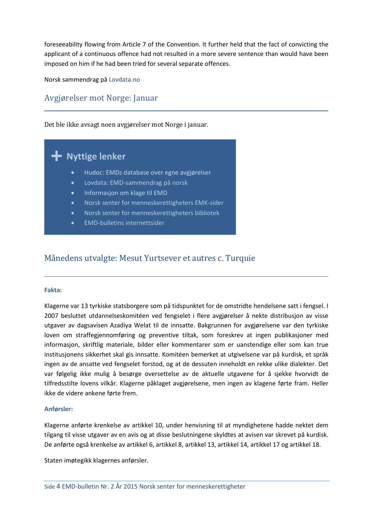foreseeability flowing from Article 7 of the Convention. It further held that the fact of convicting the applicant of a continuous offence had not resulted in a more severe sentence than would have been imposed on him if he had been tried for several separate offences.

Norsk sammendrag på [Lovdata.no](https://lovdata.no/dokument/EMDN/avgjorelse/emdn-2008-59552-tsjek)

## Avgjørelser mot Norge: Januar

Det ble ikke avsagt noen avgjørelser mot Norge i januar.

# **Nyttige lenker +**

- [Hudoc: EMDs database over egne avgjørelser](http://www.echr.coe.int/Pages/home.aspx?p=caselaw/HUDOC&c=)
- [Lovdata: EMD-sammendrag på norsk](http://www.lovdata.no/avg/emdn/index.html)
- [Informasjon om klage til EMD](http://www.echr.coe.int/Pages/home.aspx?p=applicants&c=#n1357809840531_pointer)
- [Norsk senter for menneskerettigheters EMK-sider](http://www.jus.uio.no/smr/om/nasjonal-institusjon/emd/)
- [Norsk senter for menneskerettigheters bibliotek](http://www.jus.uio.no/smr/tjenester/bibliotek/)
- [EMD-bulletins internettsider](http://www.jus.uio.no/smr/om/nasjonal-institusjon/publikasjoner/emd-bulletin/index.html)

## Månedens utvalgte: Mesut Yurtsever et autres c. Turquie

#### **Fakta:**

Klagerne var 13 tyrkiske statsborgere som på tidspunktet for de omstridte hendelsene satt i fengsel. I 2007 besluttet utdannelseskomitéen ved fengselet i flere avgjørelser å nekte distribusjon av visse utgaver av dagsavisen Azadiya Welat til de innsatte. Bakgrunnen for avgjørelsene var den tyrkiske loven om straffegjennomføring og preventive tiltak, som foreskrev at ingen publikasjoner med informasjon, skriftlig materiale, bilder eller kommentarer som er uanstendige eller som kan true institusjonens sikkerhet skal gis innsatte. Komitéen bemerket at utgivelsene var på kurdisk, et språk ingen av de ansatte ved fengselet forstod, og at de dessuten inneholdt en rekke ulike dialekter. Det var følgelig ikke mulig å besørge oversettelse av de aktuelle utgavene for å sjekke hvorvidt de tilfredsstilte lovens vilkår. Klagerne påklaget avgjørelsene, men ingen av klagene førte fram. Heller ikke de videre ankene førte frem.

#### **Anførsler:**

Klagerne anførte krenkelse av artikkel 10, under henvisning til at myndighetene hadde nektet dem tilgang til visse utgaver av en avis og at disse beslutningene skyldtes at avisen var skrevet på kurdisk. De anførte også krenkelse av artikkel 6, artikkel 8, artikkel 13, artikkel 14, artikkel 17 og artikkel 18.

Staten imøtegikk klagernes anførsler.